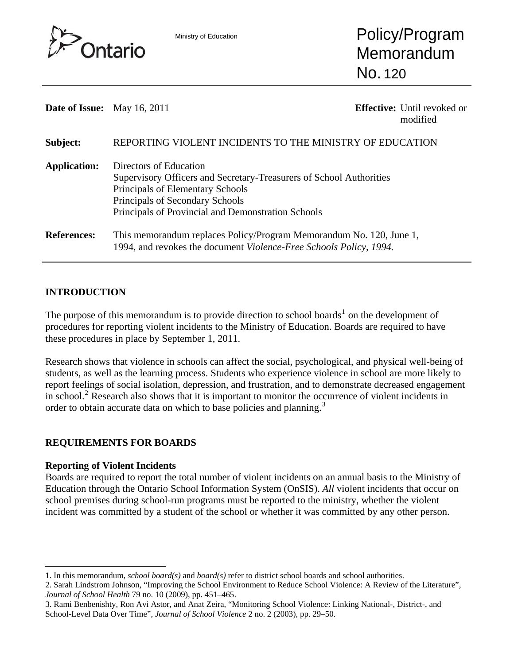

Ministry of Education **Policy/Program** Memorandum No. 120

**Date of Issue:** May 16, 2011 **Effective:** Until revoked or

modified

| Subject:            | REPORTING VIOLENT INCIDENTS TO THE MINISTRY OF EDUCATION            |
|---------------------|---------------------------------------------------------------------|
| <b>Application:</b> | Directors of Education                                              |
|                     | Supervisory Officers and Secretary-Treasurers of School Authorities |
|                     | Principals of Elementary Schools                                    |
|                     | Principals of Secondary Schools                                     |
|                     | Principals of Provincial and Demonstration Schools                  |
| <b>References:</b>  | This memorandum replaces Policy/Program Memorandum No. 120, June 1, |
|                     | 1994, and revokes the document Violence-Free Schools Policy, 1994.  |

## **INTRODUCTION**

The purpose of this memorandum is to provide direction to school boards<sup>[1](#page-0-0)</sup> on the development of procedures for reporting violent incidents to the Ministry of Education. Boards are required to have these procedures in place by September 1, 2011.

Research shows that violence in schools can affect the social, psychological, and physical well-being of students, as well as the learning process. Students who experience violence in school are more likely to report feelings of social isolation, depression, and frustration, and to demonstrate decreased engagement in school.<sup>[2](#page-0-1)</sup> Research also shows that it is important to monitor the occurrence of violent incidents in order to obtain accurate data on which to base policies and planning.<sup>[3](#page-0-2)</sup>

## **REQUIREMENTS FOR BOARDS**

## **Reporting of Violent Incidents**

l

Boards are required to report the total number of violent incidents on an annual basis to the Ministry of Education through the Ontario School Information System (OnSIS). *All* violent incidents that occur on school premises during school-run programs must be reported to the ministry, whether the violent incident was committed by a student of the school or whether it was committed by any other person.

<span id="page-0-0"></span><sup>1.</sup> In this memorandum, *school board(s)* and *board(s)* refer to district school boards and school authorities.

<span id="page-0-1"></span><sup>2.</sup> Sarah Lindstrom Johnson, "Improving the School Environment to Reduce School Violence: A Review of the Literature", *Journal of School Health* 79 no. 10 (2009), pp. 451–465.

<span id="page-0-2"></span><sup>3.</sup> Rami Benbenishty, Ron Avi Astor, and Anat Zeira, "Monitoring School Violence: Linking National-, District-, and School-Level Data Over Time", *Journal of School Violence* 2 no. 2 (2003), pp. 29–50.